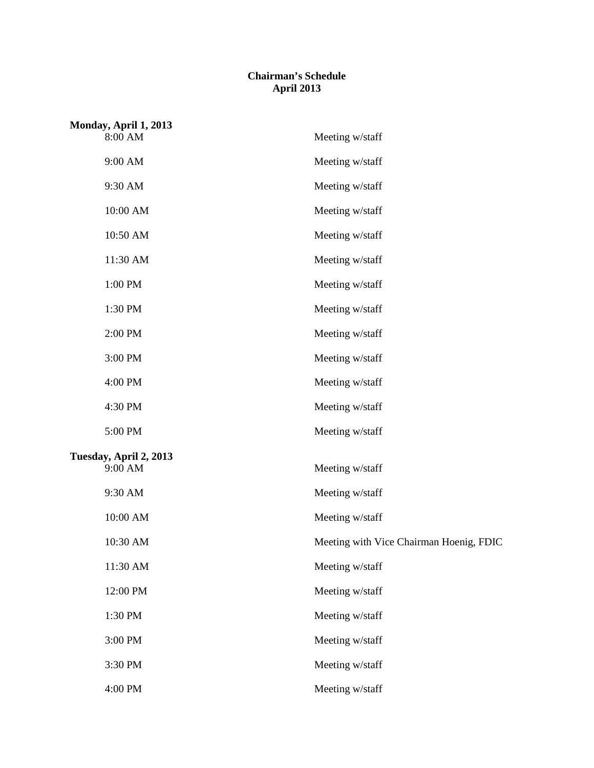## **Chairman's Schedule April 2013**

| Monday, April 1, 2013<br>8:00 AM | Meeting w/staff                         |
|----------------------------------|-----------------------------------------|
| 9:00 AM                          | Meeting w/staff                         |
| 9:30 AM                          | Meeting w/staff                         |
| 10:00 AM                         | Meeting w/staff                         |
| 10:50 AM                         | Meeting w/staff                         |
| 11:30 AM                         | Meeting w/staff                         |
| 1:00 PM                          | Meeting w/staff                         |
| 1:30 PM                          | Meeting w/staff                         |
| 2:00 PM                          | Meeting w/staff                         |
| 3:00 PM                          | Meeting w/staff                         |
| 4:00 PM                          | Meeting w/staff                         |
| 4:30 PM                          | Meeting w/staff                         |
| 5:00 PM                          | Meeting w/staff                         |
| Tuesday, April 2, 2013           |                                         |
| 9:00 AM                          | Meeting w/staff                         |
| 9:30 AM                          | Meeting w/staff                         |
| 10:00 AM                         | Meeting w/staff                         |
| 10:30 AM                         | Meeting with Vice Chairman Hoenig, FDIC |
| 11:30 AM                         | Meeting w/staff                         |
| 12:00 PM                         | Meeting w/staff                         |
| 1:30 PM                          | Meeting w/staff                         |
| 3:00 PM                          | Meeting w/staff                         |
| 3:30 PM                          | Meeting w/staff                         |
| 4:00 PM                          | Meeting w/staff                         |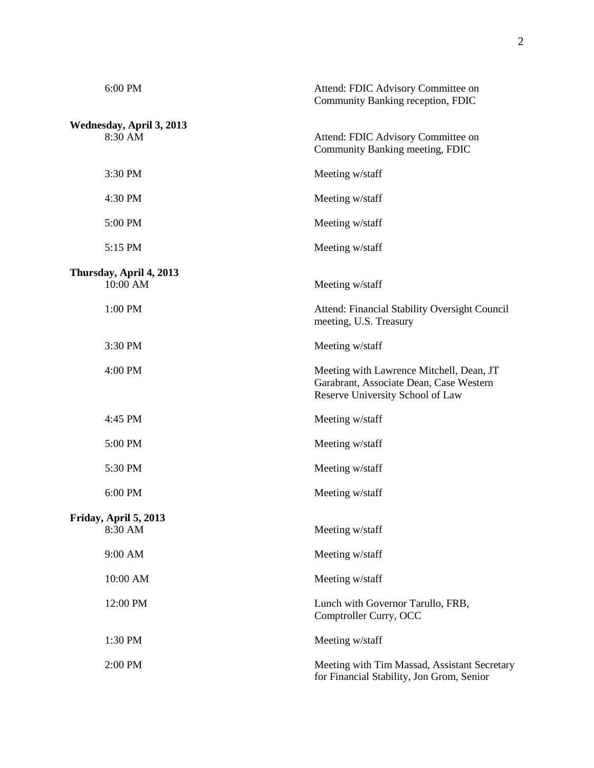| 6:00 PM                             | Attend: FDIC Advisory Committee on<br>Community Banking reception, FDIC                                                 |
|-------------------------------------|-------------------------------------------------------------------------------------------------------------------------|
|                                     |                                                                                                                         |
| Wednesday, April 3, 2013<br>8:30 AM | Attend: FDIC Advisory Committee on<br>Community Banking meeting, FDIC                                                   |
| 3:30 PM                             | Meeting w/staff                                                                                                         |
| 4:30 PM                             | Meeting w/staff                                                                                                         |
| 5:00 PM                             | Meeting w/staff                                                                                                         |
| 5:15 PM                             | Meeting w/staff                                                                                                         |
|                                     |                                                                                                                         |
| Thursday, April 4, 2013<br>10:00 AM | Meeting w/staff                                                                                                         |
| 1:00 PM                             | Attend: Financial Stability Oversight Council<br>meeting, U.S. Treasury                                                 |
| 3:30 PM                             | Meeting w/staff                                                                                                         |
| 4:00 PM                             | Meeting with Lawrence Mitchell, Dean, JT<br>Garabrant, Associate Dean, Case Western<br>Reserve University School of Law |
| 4:45 PM                             | Meeting w/staff                                                                                                         |
| 5:00 PM                             | Meeting w/staff                                                                                                         |
| 5:30 PM                             | Meeting w/staff                                                                                                         |
| 6:00 PM                             | Meeting w/staff                                                                                                         |
|                                     |                                                                                                                         |
| Friday, April 5, 2013<br>8:30 AM    | Meeting w/staff                                                                                                         |
| 9:00 AM                             | Meeting w/staff                                                                                                         |
| 10:00 AM                            | Meeting w/staff                                                                                                         |
| 12:00 PM                            | Lunch with Governor Tarullo, FRB,<br>Comptroller Curry, OCC                                                             |
| 1:30 PM                             | Meeting w/staff                                                                                                         |
| 2:00 PM                             | Meeting with Tim Massad, Assistant Secretary<br>for Financial Stability, Jon Grom, Senior                               |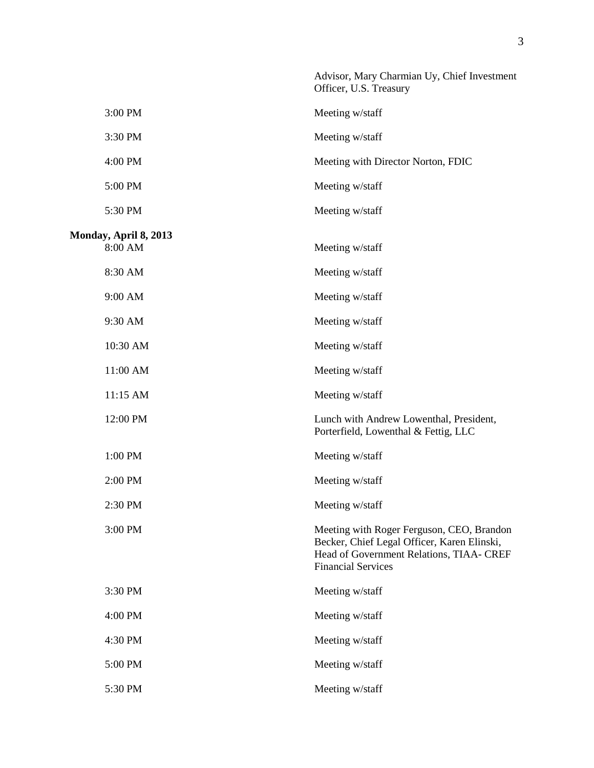|                                  | Advisor, Mary Charmian Uy, Chief Investment<br>Officer, U.S. Treasury                                                                                             |
|----------------------------------|-------------------------------------------------------------------------------------------------------------------------------------------------------------------|
| 3:00 PM                          | Meeting w/staff                                                                                                                                                   |
| 3:30 PM                          | Meeting w/staff                                                                                                                                                   |
| 4:00 PM                          | Meeting with Director Norton, FDIC                                                                                                                                |
| 5:00 PM                          | Meeting w/staff                                                                                                                                                   |
| 5:30 PM                          | Meeting w/staff                                                                                                                                                   |
| Monday, April 8, 2013<br>8:00 AM | Meeting w/staff                                                                                                                                                   |
| 8:30 AM                          | Meeting w/staff                                                                                                                                                   |
| 9:00 AM                          | Meeting w/staff                                                                                                                                                   |
| 9:30 AM                          | Meeting w/staff                                                                                                                                                   |
| 10:30 AM                         | Meeting w/staff                                                                                                                                                   |
| 11:00 AM                         | Meeting w/staff                                                                                                                                                   |
| 11:15 AM                         | Meeting w/staff                                                                                                                                                   |
| 12:00 PM                         | Lunch with Andrew Lowenthal, President,<br>Porterfield, Lowenthal & Fettig, LLC                                                                                   |
| 1:00 PM                          | Meeting w/staff                                                                                                                                                   |
| 2:00 PM                          | Meeting w/staff                                                                                                                                                   |
| 2:30 PM                          | Meeting w/staff                                                                                                                                                   |
| 3:00 PM                          | Meeting with Roger Ferguson, CEO, Brandon<br>Becker, Chief Legal Officer, Karen Elinski,<br>Head of Government Relations, TIAA- CREF<br><b>Financial Services</b> |
| 3:30 PM                          | Meeting w/staff                                                                                                                                                   |
| 4:00 PM                          | Meeting w/staff                                                                                                                                                   |
| 4:30 PM                          | Meeting w/staff                                                                                                                                                   |
| 5:00 PM                          | Meeting w/staff                                                                                                                                                   |
| 5:30 PM                          | Meeting w/staff                                                                                                                                                   |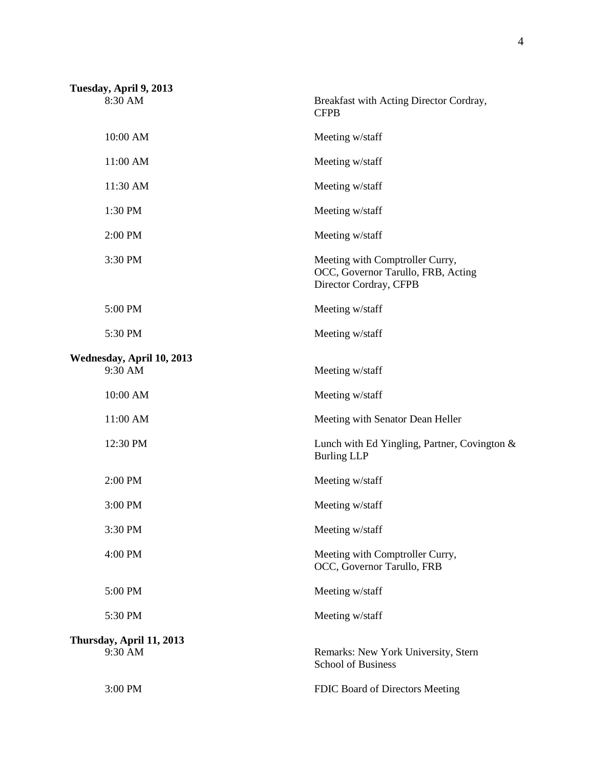| Tuesday, April 9, 2013               |                                                                                                 |
|--------------------------------------|-------------------------------------------------------------------------------------------------|
| 8:30 AM                              | Breakfast with Acting Director Cordray,<br><b>CFPB</b>                                          |
| 10:00 AM                             | Meeting w/staff                                                                                 |
| 11:00 AM                             | Meeting w/staff                                                                                 |
| 11:30 AM                             | Meeting w/staff                                                                                 |
| 1:30 PM                              | Meeting w/staff                                                                                 |
| 2:00 PM                              | Meeting w/staff                                                                                 |
| 3:30 PM                              | Meeting with Comptroller Curry,<br>OCC, Governor Tarullo, FRB, Acting<br>Director Cordray, CFPB |
| 5:00 PM                              | Meeting w/staff                                                                                 |
| 5:30 PM                              | Meeting w/staff                                                                                 |
| Wednesday, April 10, 2013<br>9:30 AM | Meeting w/staff                                                                                 |
| 10:00 AM                             | Meeting w/staff                                                                                 |
| 11:00 AM                             | Meeting with Senator Dean Heller                                                                |
| 12:30 PM                             | Lunch with Ed Yingling, Partner, Covington &<br><b>Burling LLP</b>                              |
| 2:00 PM                              | Meeting w/staff                                                                                 |
| 3:00 PM                              | Meeting w/staff                                                                                 |
| 3:30 PM                              | Meeting w/staff                                                                                 |
| 4:00 PM                              | Meeting with Comptroller Curry,<br>OCC, Governor Tarullo, FRB                                   |
| 5:00 PM                              | Meeting w/staff                                                                                 |
| 5:30 PM                              | Meeting w/staff                                                                                 |
| Thursday, April 11, 2013             |                                                                                                 |
| 9:30 AM                              | Remarks: New York University, Stern<br><b>School of Business</b>                                |
| 3:00 PM                              | FDIC Board of Directors Meeting                                                                 |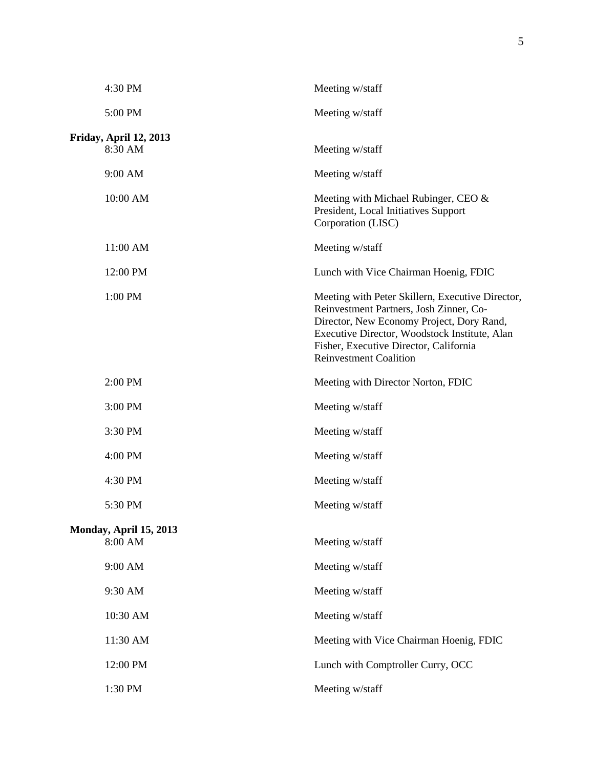| 4:30 PM                           | Meeting w/staff                                                                                                                                                                                                                                                      |
|-----------------------------------|----------------------------------------------------------------------------------------------------------------------------------------------------------------------------------------------------------------------------------------------------------------------|
| 5:00 PM                           | Meeting w/staff                                                                                                                                                                                                                                                      |
| Friday, April 12, 2013            |                                                                                                                                                                                                                                                                      |
| 8:30 AM                           | Meeting w/staff                                                                                                                                                                                                                                                      |
| 9:00 AM                           | Meeting w/staff                                                                                                                                                                                                                                                      |
| 10:00 AM                          | Meeting with Michael Rubinger, CEO &<br>President, Local Initiatives Support<br>Corporation (LISC)                                                                                                                                                                   |
| 11:00 AM                          | Meeting w/staff                                                                                                                                                                                                                                                      |
| 12:00 PM                          | Lunch with Vice Chairman Hoenig, FDIC                                                                                                                                                                                                                                |
| 1:00 PM                           | Meeting with Peter Skillern, Executive Director,<br>Reinvestment Partners, Josh Zinner, Co-<br>Director, New Economy Project, Dory Rand,<br>Executive Director, Woodstock Institute, Alan<br>Fisher, Executive Director, California<br><b>Reinvestment Coalition</b> |
| 2:00 PM                           | Meeting with Director Norton, FDIC                                                                                                                                                                                                                                   |
| 3:00 PM                           | Meeting w/staff                                                                                                                                                                                                                                                      |
| 3:30 PM                           | Meeting w/staff                                                                                                                                                                                                                                                      |
| 4:00 PM                           | Meeting w/staff                                                                                                                                                                                                                                                      |
| 4:30 PM                           | Meeting w/staff                                                                                                                                                                                                                                                      |
| 5:30 PM                           | Meeting w/staff                                                                                                                                                                                                                                                      |
| Monday, April 15, 2013<br>8:00 AM | Meeting w/staff                                                                                                                                                                                                                                                      |
| 9:00 AM                           | Meeting w/staff                                                                                                                                                                                                                                                      |
| 9:30 AM                           | Meeting w/staff                                                                                                                                                                                                                                                      |
| 10:30 AM                          | Meeting w/staff                                                                                                                                                                                                                                                      |
| 11:30 AM                          | Meeting with Vice Chairman Hoenig, FDIC                                                                                                                                                                                                                              |
| 12:00 PM                          | Lunch with Comptroller Curry, OCC                                                                                                                                                                                                                                    |
| 1:30 PM                           | Meeting w/staff                                                                                                                                                                                                                                                      |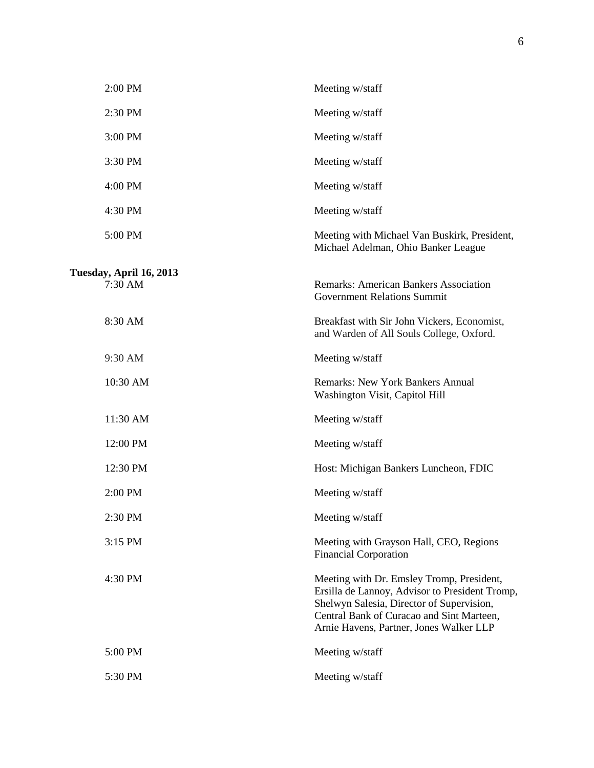| 2:00 PM                            | Meeting w/staff                                                                                                                                                                                                                  |
|------------------------------------|----------------------------------------------------------------------------------------------------------------------------------------------------------------------------------------------------------------------------------|
| 2:30 PM                            | Meeting w/staff                                                                                                                                                                                                                  |
| 3:00 PM                            | Meeting w/staff                                                                                                                                                                                                                  |
| 3:30 PM                            | Meeting w/staff                                                                                                                                                                                                                  |
| 4:00 PM                            | Meeting w/staff                                                                                                                                                                                                                  |
| 4:30 PM                            | Meeting w/staff                                                                                                                                                                                                                  |
| 5:00 PM                            | Meeting with Michael Van Buskirk, President,<br>Michael Adelman, Ohio Banker League                                                                                                                                              |
| Tuesday, April 16, 2013<br>7:30 AM | <b>Remarks: American Bankers Association</b><br><b>Government Relations Summit</b>                                                                                                                                               |
| 8:30 AM                            | Breakfast with Sir John Vickers, Economist,<br>and Warden of All Souls College, Oxford.                                                                                                                                          |
| 9:30 AM                            | Meeting w/staff                                                                                                                                                                                                                  |
| 10:30 AM                           | <b>Remarks: New York Bankers Annual</b><br>Washington Visit, Capitol Hill                                                                                                                                                        |
| 11:30 AM                           | Meeting w/staff                                                                                                                                                                                                                  |
| 12:00 PM                           | Meeting w/staff                                                                                                                                                                                                                  |
| 12:30 PM                           | Host: Michigan Bankers Luncheon, FDIC                                                                                                                                                                                            |
| 2:00 PM                            | Meeting w/staff                                                                                                                                                                                                                  |
| 2:30 PM                            | Meeting w/staff                                                                                                                                                                                                                  |
| 3:15 PM                            | Meeting with Grayson Hall, CEO, Regions<br><b>Financial Corporation</b>                                                                                                                                                          |
| 4:30 PM                            | Meeting with Dr. Emsley Tromp, President,<br>Ersilla de Lannoy, Advisor to President Tromp,<br>Shelwyn Salesia, Director of Supervision,<br>Central Bank of Curacao and Sint Marteen,<br>Arnie Havens, Partner, Jones Walker LLP |
| 5:00 PM                            | Meeting w/staff                                                                                                                                                                                                                  |
| 5:30 PM                            | Meeting w/staff                                                                                                                                                                                                                  |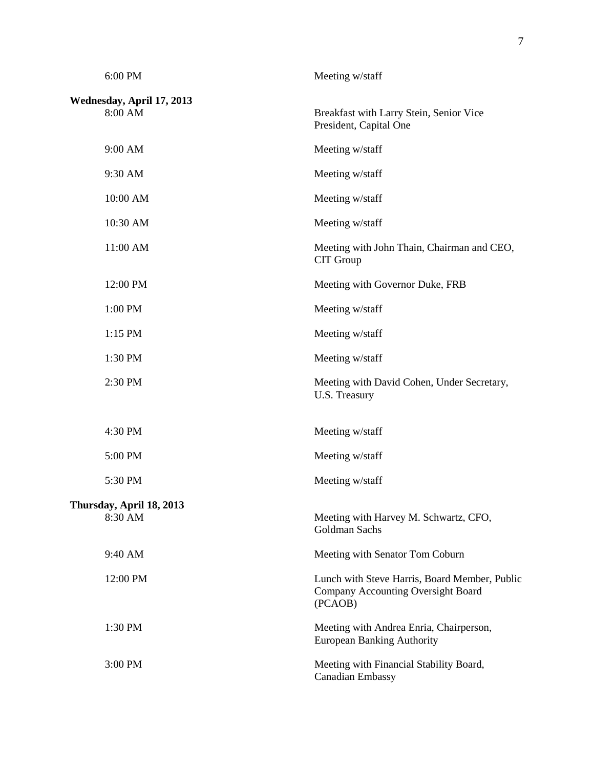| 6:00 PM                              | Meeting w/staff                                                                                |
|--------------------------------------|------------------------------------------------------------------------------------------------|
| Wednesday, April 17, 2013<br>8:00 AM | Breakfast with Larry Stein, Senior Vice<br>President, Capital One                              |
| 9:00 AM                              | Meeting w/staff                                                                                |
| 9:30 AM                              | Meeting w/staff                                                                                |
| 10:00 AM                             | Meeting w/staff                                                                                |
| 10:30 AM                             | Meeting w/staff                                                                                |
| 11:00 AM                             | Meeting with John Thain, Chairman and CEO,<br>CIT Group                                        |
| 12:00 PM                             | Meeting with Governor Duke, FRB                                                                |
| 1:00 PM                              | Meeting w/staff                                                                                |
| 1:15 PM                              | Meeting w/staff                                                                                |
| 1:30 PM                              | Meeting w/staff                                                                                |
| 2:30 PM                              | Meeting with David Cohen, Under Secretary,<br>U.S. Treasury                                    |
| 4:30 PM                              | Meeting w/staff                                                                                |
| 5:00 PM                              | Meeting w/staff                                                                                |
| 5:30 PM                              | Meeting w/staff                                                                                |
| Thursday, April 18, 2013<br>8:30 AM  | Meeting with Harvey M. Schwartz, CFO,<br><b>Goldman Sachs</b>                                  |
| 9:40 AM                              | Meeting with Senator Tom Coburn                                                                |
| 12:00 PM                             | Lunch with Steve Harris, Board Member, Public<br>Company Accounting Oversight Board<br>(PCAOB) |
| 1:30 PM                              | Meeting with Andrea Enria, Chairperson,<br><b>European Banking Authority</b>                   |
| 3:00 PM                              | Meeting with Financial Stability Board,<br><b>Canadian Embassy</b>                             |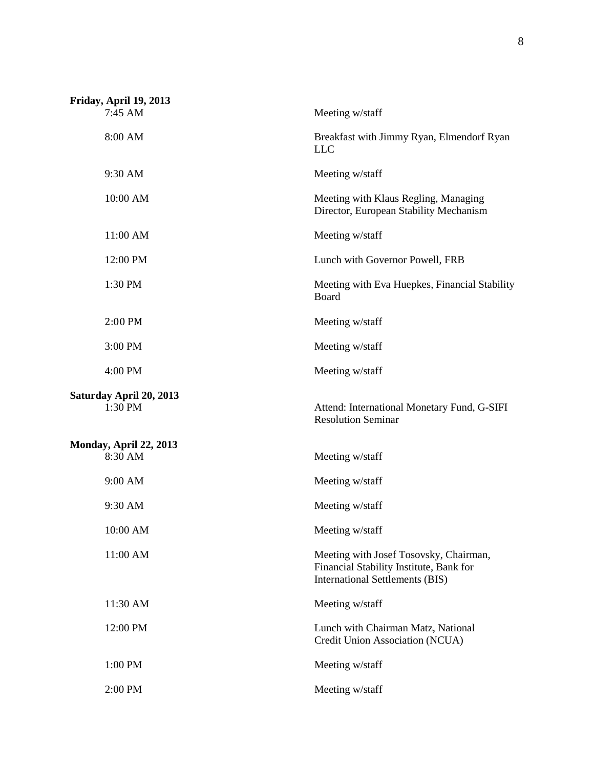| Friday, April 19, 2013<br>7:45 AM        | Meeting w/staff                                                                                                             |
|------------------------------------------|-----------------------------------------------------------------------------------------------------------------------------|
| 8:00 AM                                  | Breakfast with Jimmy Ryan, Elmendorf Ryan<br><b>LLC</b>                                                                     |
| 9:30 AM                                  | Meeting w/staff                                                                                                             |
| 10:00 AM                                 | Meeting with Klaus Regling, Managing<br>Director, European Stability Mechanism                                              |
| 11:00 AM                                 | Meeting w/staff                                                                                                             |
| 12:00 PM                                 | Lunch with Governor Powell, FRB                                                                                             |
| 1:30 PM                                  | Meeting with Eva Huepkes, Financial Stability<br>Board                                                                      |
| 2:00 PM                                  | Meeting w/staff                                                                                                             |
| 3:00 PM                                  | Meeting w/staff                                                                                                             |
| 4:00 PM                                  | Meeting w/staff                                                                                                             |
| Saturday April 20, 2013<br>1:30 PM       | Attend: International Monetary Fund, G-SIFI<br><b>Resolution Seminar</b>                                                    |
| <b>Monday, April 22, 2013</b><br>8:30 AM | Meeting w/staff                                                                                                             |
| 9:00 AM                                  | Meeting w/staff                                                                                                             |
| 9:30 AM                                  | Meeting w/staff                                                                                                             |
| 10:00 AM                                 | Meeting w/staff                                                                                                             |
| 11:00 AM                                 | Meeting with Josef Tosovsky, Chairman,<br>Financial Stability Institute, Bank for<br><b>International Settlements (BIS)</b> |
| 11:30 AM                                 | Meeting w/staff                                                                                                             |
| 12:00 PM                                 | Lunch with Chairman Matz, National<br>Credit Union Association (NCUA)                                                       |
| 1:00 PM                                  | Meeting w/staff                                                                                                             |
| 2:00 PM                                  | Meeting w/staff                                                                                                             |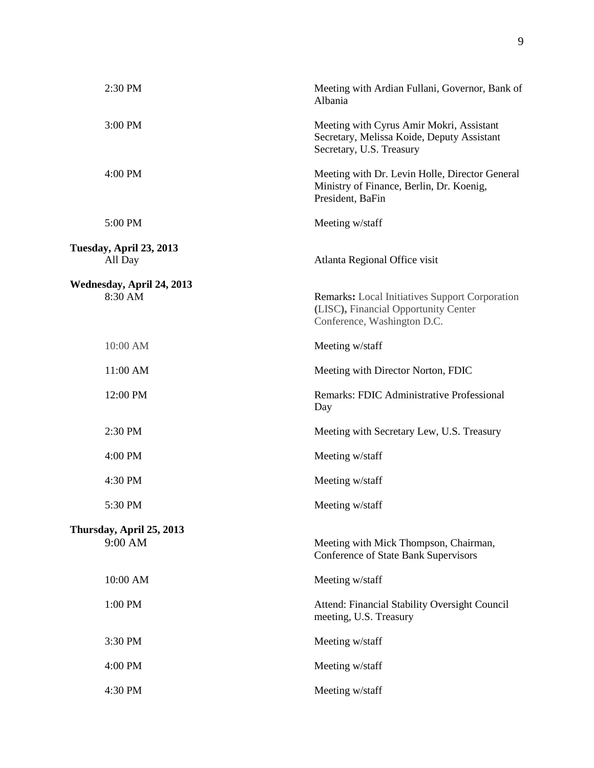| 2:30 PM                              | Meeting with Ardian Fullani, Governor, Bank of<br>Albania                                                                    |
|--------------------------------------|------------------------------------------------------------------------------------------------------------------------------|
| 3:00 PM                              | Meeting with Cyrus Amir Mokri, Assistant<br>Secretary, Melissa Koide, Deputy Assistant<br>Secretary, U.S. Treasury           |
| 4:00 PM                              | Meeting with Dr. Levin Holle, Director General<br>Ministry of Finance, Berlin, Dr. Koenig,<br>President, BaFin               |
| 5:00 PM                              | Meeting w/staff                                                                                                              |
| Tuesday, April 23, 2013<br>All Day   | Atlanta Regional Office visit                                                                                                |
| Wednesday, April 24, 2013<br>8:30 AM | <b>Remarks:</b> Local Initiatives Support Corporation<br>(LISC), Financial Opportunity Center<br>Conference, Washington D.C. |
| 10:00 AM                             | Meeting w/staff                                                                                                              |
| 11:00 AM                             | Meeting with Director Norton, FDIC                                                                                           |
| 12:00 PM                             | Remarks: FDIC Administrative Professional<br>Day                                                                             |
| 2:30 PM                              | Meeting with Secretary Lew, U.S. Treasury                                                                                    |
| 4:00 PM                              | Meeting w/staff                                                                                                              |
| 4:30 PM                              | Meeting w/staff                                                                                                              |
| 5:30 PM                              | Meeting w/staff                                                                                                              |
| Thursday, April 25, 2013<br>9:00 AM  | Meeting with Mick Thompson, Chairman,<br>Conference of State Bank Supervisors                                                |
| 10:00 AM                             | Meeting w/staff                                                                                                              |
| 1:00 PM                              | Attend: Financial Stability Oversight Council<br>meeting, U.S. Treasury                                                      |
| 3:30 PM                              | Meeting w/staff                                                                                                              |
| 4:00 PM                              | Meeting w/staff                                                                                                              |
| 4:30 PM                              | Meeting w/staff                                                                                                              |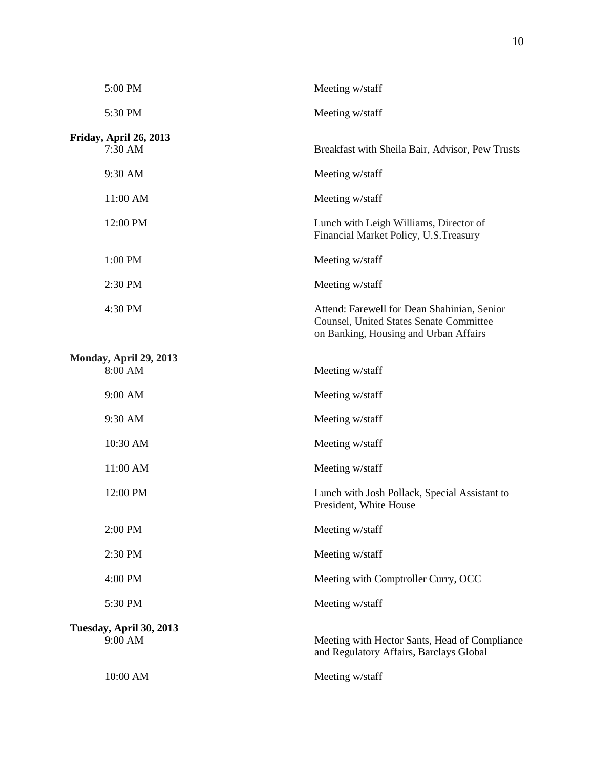| 5:00 PM                            | Meeting w/staff                                                                                                                        |
|------------------------------------|----------------------------------------------------------------------------------------------------------------------------------------|
| 5:30 PM                            | Meeting w/staff                                                                                                                        |
| Friday, April 26, 2013             |                                                                                                                                        |
| 7:30 AM                            | Breakfast with Sheila Bair, Advisor, Pew Trusts                                                                                        |
| 9:30 AM                            | Meeting w/staff                                                                                                                        |
| 11:00 AM                           | Meeting w/staff                                                                                                                        |
| 12:00 PM                           | Lunch with Leigh Williams, Director of<br>Financial Market Policy, U.S. Treasury                                                       |
| 1:00 PM                            | Meeting w/staff                                                                                                                        |
| 2:30 PM                            | Meeting w/staff                                                                                                                        |
| 4:30 PM                            | Attend: Farewell for Dean Shahinian, Senior<br><b>Counsel, United States Senate Committee</b><br>on Banking, Housing and Urban Affairs |
| Monday, April 29, 2013             |                                                                                                                                        |
| 8:00 AM                            | Meeting w/staff                                                                                                                        |
| 9:00 AM                            | Meeting w/staff                                                                                                                        |
| 9:30 AM                            | Meeting w/staff                                                                                                                        |
| 10:30 AM                           | Meeting w/staff                                                                                                                        |
| 11:00 AM                           | Meeting w/staff                                                                                                                        |
| 12:00 PM                           | Lunch with Josh Pollack, Special Assistant to<br>President, White House                                                                |
| 2:00 PM                            | Meeting w/staff                                                                                                                        |
| 2:30 PM                            | Meeting w/staff                                                                                                                        |
| 4:00 PM                            | Meeting with Comptroller Curry, OCC                                                                                                    |
| 5:30 PM                            | Meeting w/staff                                                                                                                        |
| Tuesday, April 30, 2013<br>9:00 AM | Meeting with Hector Sants, Head of Compliance<br>and Regulatory Affairs, Barclays Global                                               |
| 10:00 AM                           | Meeting w/staff                                                                                                                        |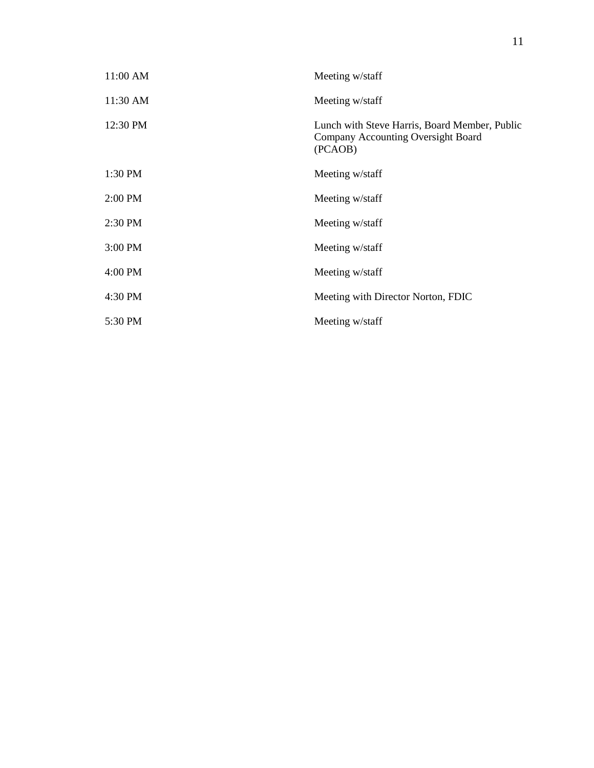| 11:00 AM | Meeting w/staff                                                                                |
|----------|------------------------------------------------------------------------------------------------|
| 11:30 AM | Meeting w/staff                                                                                |
| 12:30 PM | Lunch with Steve Harris, Board Member, Public<br>Company Accounting Oversight Board<br>(PCAOB) |
| 1:30 PM  | Meeting w/staff                                                                                |
| 2:00 PM  | Meeting w/staff                                                                                |
| 2:30 PM  | Meeting w/staff                                                                                |
| 3:00 PM  | Meeting w/staff                                                                                |
| 4:00 PM  | Meeting w/staff                                                                                |
| 4:30 PM  | Meeting with Director Norton, FDIC                                                             |
| 5:30 PM  | Meeting w/staff                                                                                |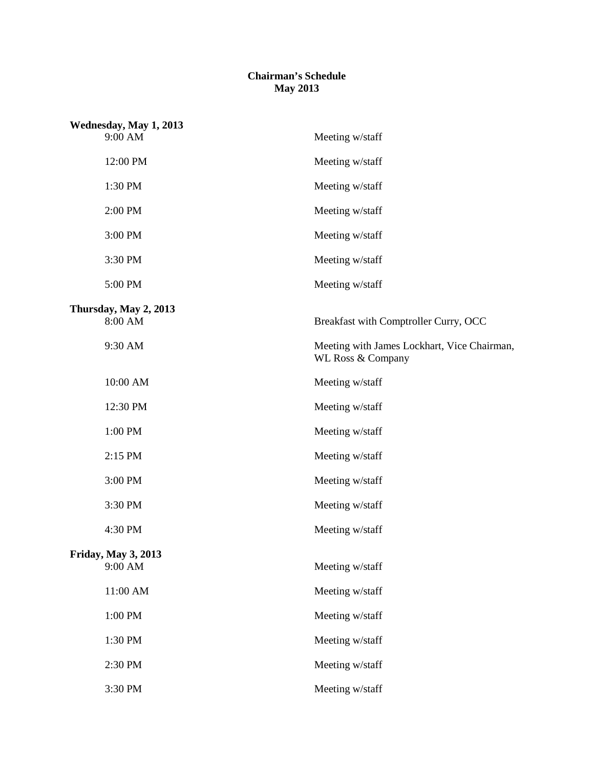## **Chairman's Schedule May 2013**

| Wednesday, May 1, 2013<br>9:00 AM | Meeting w/staff                                                  |
|-----------------------------------|------------------------------------------------------------------|
| 12:00 PM                          | Meeting w/staff                                                  |
| 1:30 PM                           | Meeting w/staff                                                  |
| 2:00 PM                           | Meeting w/staff                                                  |
| 3:00 PM                           | Meeting w/staff                                                  |
| 3:30 PM                           | Meeting w/staff                                                  |
| 5:00 PM                           | Meeting w/staff                                                  |
| Thursday, May 2, 2013             |                                                                  |
| 8:00 AM                           | Breakfast with Comptroller Curry, OCC                            |
| 9:30 AM                           | Meeting with James Lockhart, Vice Chairman,<br>WL Ross & Company |
| 10:00 AM                          | Meeting w/staff                                                  |
| 12:30 PM                          | Meeting w/staff                                                  |
| 1:00 PM                           | Meeting w/staff                                                  |
| 2:15 PM                           | Meeting w/staff                                                  |
| 3:00 PM                           | Meeting w/staff                                                  |
| 3:30 PM                           | Meeting w/staff                                                  |
| 4:30 PM                           | Meeting w/staff                                                  |
| <b>Friday, May 3, 2013</b>        |                                                                  |
| 9:00 AM                           | Meeting w/staff                                                  |
| 11:00 AM                          | Meeting w/staff                                                  |
| 1:00 PM                           | Meeting w/staff                                                  |
| 1:30 PM                           | Meeting w/staff                                                  |
| 2:30 PM                           | Meeting w/staff                                                  |
| 3:30 PM                           | Meeting w/staff                                                  |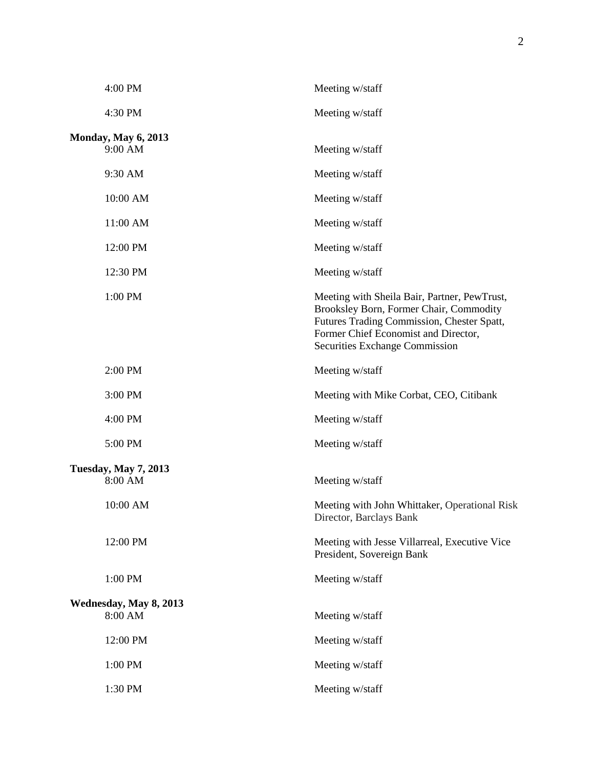| 4:00 PM                     | Meeting w/staff                                                                                                                                                                                                        |
|-----------------------------|------------------------------------------------------------------------------------------------------------------------------------------------------------------------------------------------------------------------|
| 4:30 PM                     | Meeting w/staff                                                                                                                                                                                                        |
| <b>Monday, May 6, 2013</b>  |                                                                                                                                                                                                                        |
| 9:00 AM                     | Meeting w/staff                                                                                                                                                                                                        |
| 9:30 AM                     | Meeting w/staff                                                                                                                                                                                                        |
| 10:00 AM                    | Meeting w/staff                                                                                                                                                                                                        |
| 11:00 AM                    | Meeting w/staff                                                                                                                                                                                                        |
| 12:00 PM                    | Meeting w/staff                                                                                                                                                                                                        |
| 12:30 PM                    | Meeting w/staff                                                                                                                                                                                                        |
| 1:00 PM                     | Meeting with Sheila Bair, Partner, PewTrust,<br>Brooksley Born, Former Chair, Commodity<br>Futures Trading Commission, Chester Spatt,<br>Former Chief Economist and Director,<br><b>Securities Exchange Commission</b> |
| 2:00 PM                     | Meeting w/staff                                                                                                                                                                                                        |
| 3:00 PM                     | Meeting with Mike Corbat, CEO, Citibank                                                                                                                                                                                |
| 4:00 PM                     | Meeting w/staff                                                                                                                                                                                                        |
| 5:00 PM                     | Meeting w/staff                                                                                                                                                                                                        |
| <b>Tuesday, May 7, 2013</b> |                                                                                                                                                                                                                        |
| 8:00 AM                     | Meeting w/staff                                                                                                                                                                                                        |
| 10:00 AM                    | Meeting with John Whittaker, Operational Risk<br>Director, Barclays Bank                                                                                                                                               |
| 12:00 PM                    | Meeting with Jesse Villarreal, Executive Vice<br>President, Sovereign Bank                                                                                                                                             |
| 1:00 PM                     | Meeting w/staff                                                                                                                                                                                                        |
| Wednesday, May 8, 2013      |                                                                                                                                                                                                                        |
| 8:00 AM                     | Meeting w/staff                                                                                                                                                                                                        |
| 12:00 PM                    | Meeting w/staff                                                                                                                                                                                                        |
| 1:00 PM                     | Meeting w/staff                                                                                                                                                                                                        |
| 1:30 PM                     | Meeting w/staff                                                                                                                                                                                                        |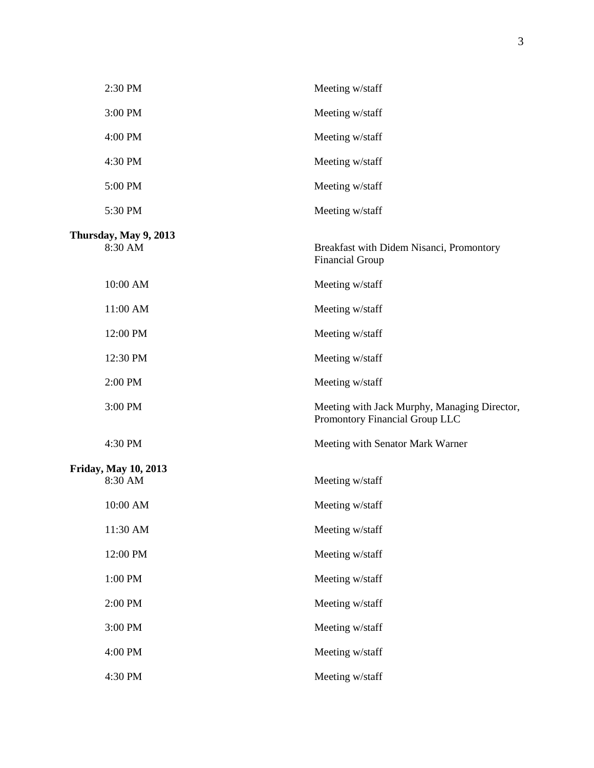| 2:30 PM                                | Meeting w/staff                                                                |
|----------------------------------------|--------------------------------------------------------------------------------|
| 3:00 PM                                | Meeting w/staff                                                                |
| 4:00 PM                                | Meeting w/staff                                                                |
| 4:30 PM                                | Meeting w/staff                                                                |
| 5:00 PM                                | Meeting w/staff                                                                |
| 5:30 PM                                | Meeting w/staff                                                                |
| Thursday, May 9, 2013<br>8:30 AM       | Breakfast with Didem Nisanci, Promontory<br><b>Financial Group</b>             |
| 10:00 AM                               | Meeting w/staff                                                                |
| 11:00 AM                               | Meeting w/staff                                                                |
| 12:00 PM                               | Meeting w/staff                                                                |
| 12:30 PM                               | Meeting w/staff                                                                |
| 2:00 PM                                | Meeting w/staff                                                                |
| 3:00 PM                                | Meeting with Jack Murphy, Managing Director,<br>Promontory Financial Group LLC |
| 4:30 PM                                | Meeting with Senator Mark Warner                                               |
| <b>Friday, May 10, 2013</b><br>8:30 AM | Meeting w/staff                                                                |
| 10:00 AM                               | Meeting w/staff                                                                |
| 11:30 AM                               | Meeting w/staff                                                                |
| 12:00 PM                               | Meeting w/staff                                                                |
| 1:00 PM                                | Meeting w/staff                                                                |
| 2:00 PM                                | Meeting w/staff                                                                |
| 3:00 PM                                | Meeting w/staff                                                                |
| 4:00 PM                                | Meeting w/staff                                                                |
| 4:30 PM                                | Meeting w/staff                                                                |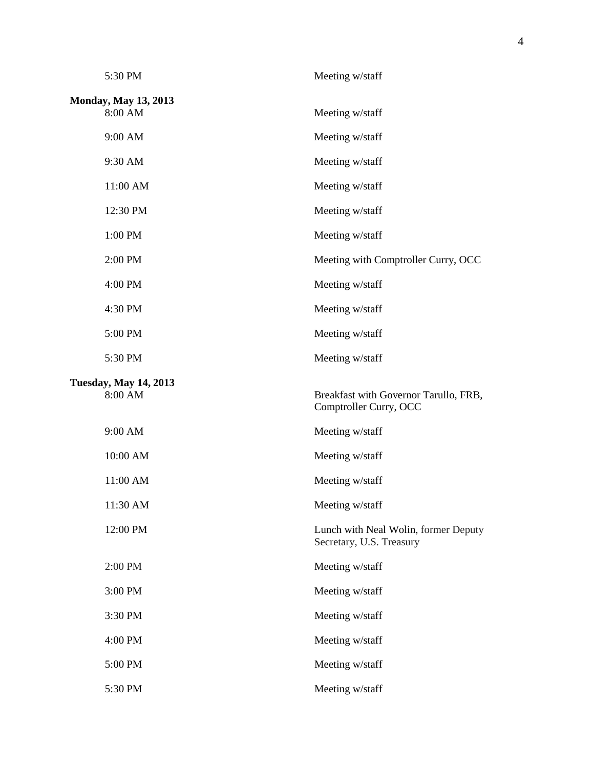| 5:30 PM                                 | Meeting w/staff                                                  |
|-----------------------------------------|------------------------------------------------------------------|
| <b>Monday, May 13, 2013</b><br>8:00 AM  | Meeting w/staff                                                  |
|                                         |                                                                  |
| 9:00 AM                                 | Meeting w/staff                                                  |
| 9:30 AM                                 | Meeting w/staff                                                  |
| 11:00 AM                                | Meeting w/staff                                                  |
| 12:30 PM                                | Meeting w/staff                                                  |
| 1:00 PM                                 | Meeting w/staff                                                  |
| 2:00 PM                                 | Meeting with Comptroller Curry, OCC                              |
| 4:00 PM                                 | Meeting w/staff                                                  |
| 4:30 PM                                 | Meeting w/staff                                                  |
| 5:00 PM                                 | Meeting w/staff                                                  |
| 5:30 PM                                 | Meeting w/staff                                                  |
| <b>Tuesday, May 14, 2013</b><br>8:00 AM | Breakfast with Governor Tarullo, FRB,<br>Comptroller Curry, OCC  |
| 9:00 AM                                 | Meeting w/staff                                                  |
| 10:00 AM                                | Meeting w/staff                                                  |
| 11:00 AM                                | Meeting w/staff                                                  |
| 11:30 AM                                | Meeting w/staff                                                  |
| 12:00 PM                                | Lunch with Neal Wolin, former Deputy<br>Secretary, U.S. Treasury |
| 2:00 PM                                 | Meeting w/staff                                                  |
| 3:00 PM                                 | Meeting w/staff                                                  |
| 3:30 PM                                 | Meeting w/staff                                                  |
| 4:00 PM                                 | Meeting w/staff                                                  |
| 5:00 PM                                 | Meeting w/staff                                                  |
|                                         |                                                                  |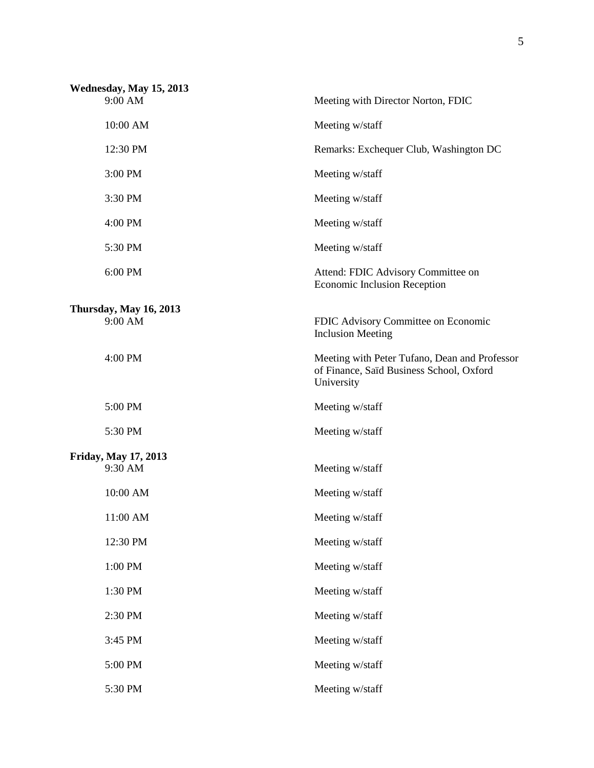| Wednesday, May 15, 2013 |                             |                                                                                                         |
|-------------------------|-----------------------------|---------------------------------------------------------------------------------------------------------|
|                         | 9:00 AM                     | Meeting with Director Norton, FDIC                                                                      |
|                         | 10:00 AM                    | Meeting w/staff                                                                                         |
|                         | 12:30 PM                    | Remarks: Exchequer Club, Washington DC                                                                  |
|                         | 3:00 PM                     | Meeting w/staff                                                                                         |
|                         | 3:30 PM                     | Meeting w/staff                                                                                         |
|                         | 4:00 PM                     | Meeting w/staff                                                                                         |
|                         | 5:30 PM                     | Meeting w/staff                                                                                         |
|                         | 6:00 PM                     | Attend: FDIC Advisory Committee on<br><b>Economic Inclusion Reception</b>                               |
|                         | Thursday, May 16, 2013      |                                                                                                         |
|                         | 9:00 AM                     | FDIC Advisory Committee on Economic<br><b>Inclusion Meeting</b>                                         |
|                         | 4:00 PM                     | Meeting with Peter Tufano, Dean and Professor<br>of Finance, Saïd Business School, Oxford<br>University |
|                         | 5:00 PM                     | Meeting w/staff                                                                                         |
|                         | 5:30 PM                     | Meeting w/staff                                                                                         |
|                         | <b>Friday, May 17, 2013</b> |                                                                                                         |
|                         | 9:30 AM                     | Meeting w/staff                                                                                         |
|                         | 10:00 AM                    | Meeting w/staff                                                                                         |
|                         | $11:00$ AM                  | Meeting w/staff                                                                                         |
|                         | 12:30 PM                    | Meeting w/staff                                                                                         |
|                         | 1:00 PM                     | Meeting w/staff                                                                                         |
|                         | 1:30 PM                     | Meeting w/staff                                                                                         |
|                         | 2:30 PM                     | Meeting w/staff                                                                                         |
|                         | 3:45 PM                     | Meeting w/staff                                                                                         |
|                         | 5:00 PM                     | Meeting w/staff                                                                                         |
|                         | 5:30 PM                     | Meeting w/staff                                                                                         |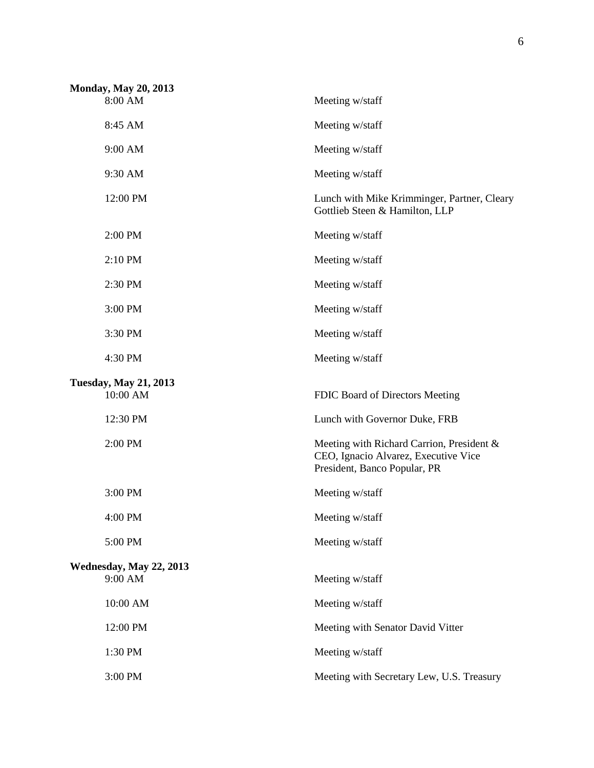| <b>Monday, May 20, 2013</b>              |                                                                                                                   |
|------------------------------------------|-------------------------------------------------------------------------------------------------------------------|
| 8:00 AM                                  | Meeting w/staff                                                                                                   |
| 8:45 AM                                  | Meeting w/staff                                                                                                   |
| 9:00 AM                                  | Meeting w/staff                                                                                                   |
| 9:30 AM                                  | Meeting w/staff                                                                                                   |
| 12:00 PM                                 | Lunch with Mike Krimminger, Partner, Cleary<br>Gottlieb Steen & Hamilton, LLP                                     |
| 2:00 PM                                  | Meeting w/staff                                                                                                   |
| 2:10 PM                                  | Meeting w/staff                                                                                                   |
| 2:30 PM                                  | Meeting w/staff                                                                                                   |
| 3:00 PM                                  | Meeting w/staff                                                                                                   |
| 3:30 PM                                  | Meeting w/staff                                                                                                   |
| 4:30 PM                                  | Meeting w/staff                                                                                                   |
|                                          |                                                                                                                   |
| <b>Tuesday, May 21, 2013</b><br>10:00 AM | FDIC Board of Directors Meeting                                                                                   |
| 12:30 PM                                 | Lunch with Governor Duke, FRB                                                                                     |
| 2:00 PM                                  | Meeting with Richard Carrion, President &<br>CEO, Ignacio Alvarez, Executive Vice<br>President, Banco Popular, PR |
| 3:00 PM                                  | Meeting w/staff                                                                                                   |
| 4:00 PM                                  | Meeting w/staff                                                                                                   |
| 5:00 PM                                  | Meeting w/staff                                                                                                   |
|                                          |                                                                                                                   |
| Wednesday, May 22, 2013<br>9:00 AM       | Meeting w/staff                                                                                                   |
| 10:00 AM                                 | Meeting w/staff                                                                                                   |
| 12:00 PM                                 | Meeting with Senator David Vitter                                                                                 |
| 1:30 PM                                  | Meeting w/staff                                                                                                   |
| 3:00 PM                                  | Meeting with Secretary Lew, U.S. Treasury                                                                         |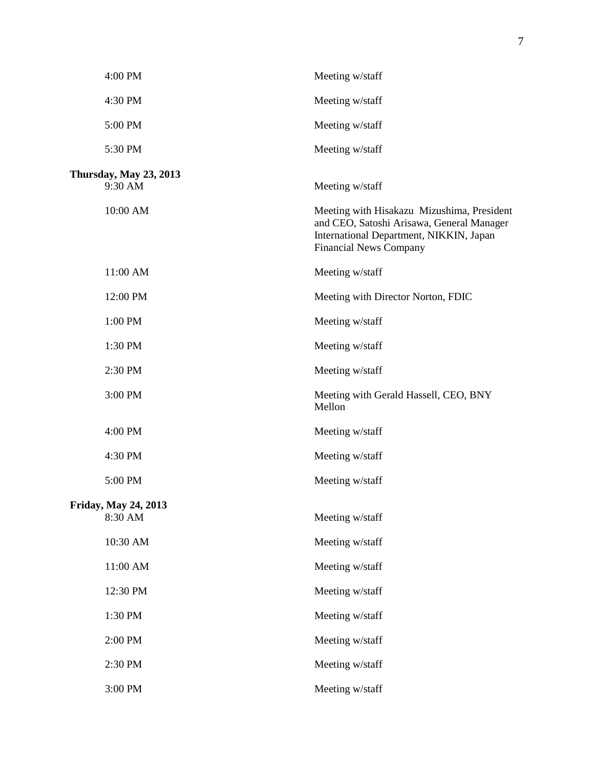| 4:00 PM                                | Meeting w/staff                                                                                                                                                     |
|----------------------------------------|---------------------------------------------------------------------------------------------------------------------------------------------------------------------|
| 4:30 PM                                | Meeting w/staff                                                                                                                                                     |
| 5:00 PM                                | Meeting w/staff                                                                                                                                                     |
| 5:30 PM                                | Meeting w/staff                                                                                                                                                     |
| Thursday, May 23, 2013<br>9:30 AM      | Meeting w/staff                                                                                                                                                     |
| 10:00 AM                               | Meeting with Hisakazu Mizushima, President<br>and CEO, Satoshi Arisawa, General Manager<br>International Department, NIKKIN, Japan<br><b>Financial News Company</b> |
| 11:00 AM                               | Meeting w/staff                                                                                                                                                     |
| 12:00 PM                               | Meeting with Director Norton, FDIC                                                                                                                                  |
| 1:00 PM                                | Meeting w/staff                                                                                                                                                     |
| 1:30 PM                                | Meeting w/staff                                                                                                                                                     |
| 2:30 PM                                | Meeting w/staff                                                                                                                                                     |
| 3:00 PM                                | Meeting with Gerald Hassell, CEO, BNY<br>Mellon                                                                                                                     |
| 4:00 PM                                | Meeting w/staff                                                                                                                                                     |
| 4:30 PM                                | Meeting w/staff                                                                                                                                                     |
| 5:00 PM                                | Meeting w/staff                                                                                                                                                     |
| <b>Friday, May 24, 2013</b><br>8:30 AM | Meeting w/staff                                                                                                                                                     |
| 10:30 AM                               | Meeting w/staff                                                                                                                                                     |
| 11:00 AM                               | Meeting w/staff                                                                                                                                                     |
| 12:30 PM                               | Meeting w/staff                                                                                                                                                     |
| 1:30 PM                                | Meeting w/staff                                                                                                                                                     |
| 2:00 PM                                | Meeting w/staff                                                                                                                                                     |
| 2:30 PM                                | Meeting w/staff                                                                                                                                                     |
| 3:00 PM                                | Meeting w/staff                                                                                                                                                     |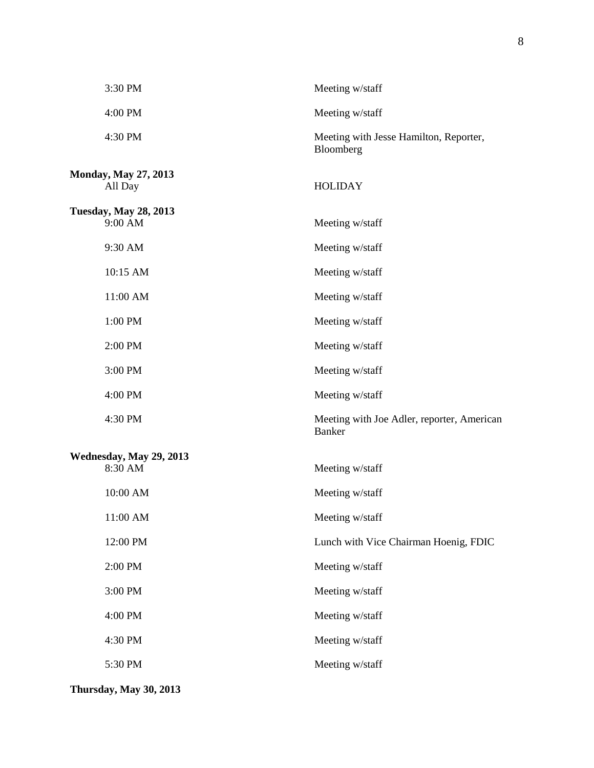| 3:30 PM                                 | Meeting w/staff                                             |
|-----------------------------------------|-------------------------------------------------------------|
| 4:00 PM                                 | Meeting w/staff                                             |
| 4:30 PM                                 | Meeting with Jesse Hamilton, Reporter,<br>Bloomberg         |
| <b>Monday, May 27, 2013</b><br>All Day  | <b>HOLIDAY</b>                                              |
| <b>Tuesday, May 28, 2013</b><br>9:00 AM | Meeting w/staff                                             |
| 9:30 AM                                 | Meeting w/staff                                             |
| 10:15 AM                                | Meeting w/staff                                             |
| 11:00 AM                                | Meeting w/staff                                             |
| 1:00 PM                                 | Meeting w/staff                                             |
| 2:00 PM                                 | Meeting w/staff                                             |
| 3:00 PM                                 | Meeting w/staff                                             |
| 4:00 PM                                 | Meeting w/staff                                             |
| 4:30 PM                                 | Meeting with Joe Adler, reporter, American<br><b>Banker</b> |
| Wednesday, May 29, 2013<br>8:30 AM      | Meeting w/staff                                             |
| 10:00 AM                                | Meeting w/staff                                             |
| 11:00 AM                                | Meeting w/staff                                             |
| 12:00 PM                                | Lunch with Vice Chairman Hoenig, FDIC                       |
| 2:00 PM                                 | Meeting w/staff                                             |
| 3:00 PM                                 | Meeting w/staff                                             |
| 4:00 PM                                 | Meeting w/staff                                             |
| 4:30 PM                                 | Meeting w/staff                                             |
| 5:30 PM                                 | Meeting w/staff                                             |

**Thursday, May 30, 2013**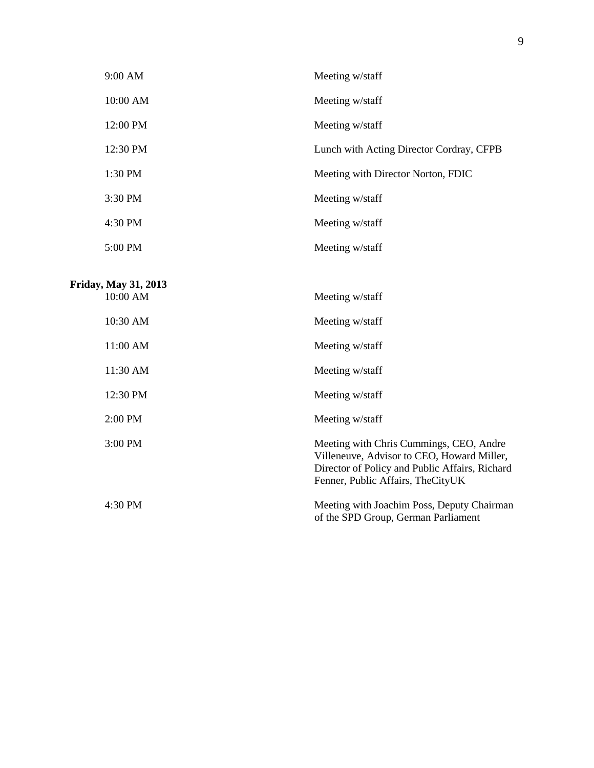| 9:00 AM                                 | Meeting w/staff                                                                                                                                                              |
|-----------------------------------------|------------------------------------------------------------------------------------------------------------------------------------------------------------------------------|
| 10:00 AM                                | Meeting w/staff                                                                                                                                                              |
| 12:00 PM                                | Meeting w/staff                                                                                                                                                              |
| 12:30 PM                                | Lunch with Acting Director Cordray, CFPB                                                                                                                                     |
| 1:30 PM                                 | Meeting with Director Norton, FDIC                                                                                                                                           |
| 3:30 PM                                 | Meeting w/staff                                                                                                                                                              |
| 4:30 PM                                 | Meeting w/staff                                                                                                                                                              |
| 5:00 PM                                 | Meeting w/staff                                                                                                                                                              |
| <b>Friday, May 31, 2013</b><br>10:00 AM | Meeting w/staff                                                                                                                                                              |
| 10:30 AM                                | Meeting w/staff                                                                                                                                                              |
| 11:00 AM                                | Meeting w/staff                                                                                                                                                              |
| 11:30 AM                                | Meeting w/staff                                                                                                                                                              |
| 12:30 PM                                | Meeting w/staff                                                                                                                                                              |
| 2:00 PM                                 | Meeting w/staff                                                                                                                                                              |
| 3:00 PM                                 | Meeting with Chris Cummings, CEO, Andre<br>Villeneuve, Advisor to CEO, Howard Miller,<br>Director of Policy and Public Affairs, Richard<br>Fenner, Public Affairs, TheCityUK |

4:30 PM Meeting with Joachim Poss, Deputy Chairman of the SPD Group, German Parliament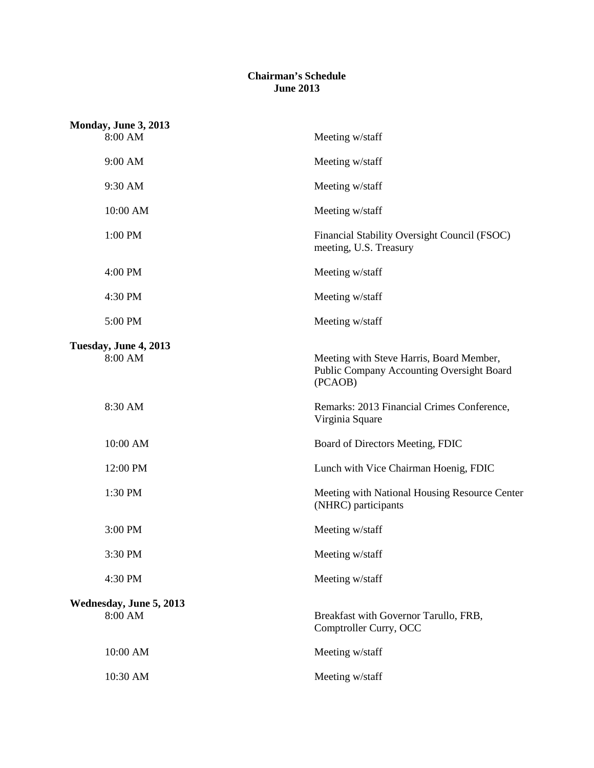## **Chairman's Schedule June 2013**

| Monday, June 3, 2013<br>8:00 AM    | Meeting w/staff                                                                                  |
|------------------------------------|--------------------------------------------------------------------------------------------------|
| 9:00 AM                            | Meeting w/staff                                                                                  |
| 9:30 AM                            | Meeting w/staff                                                                                  |
| 10:00 AM                           | Meeting w/staff                                                                                  |
| 1:00 PM                            | Financial Stability Oversight Council (FSOC)<br>meeting, U.S. Treasury                           |
| 4:00 PM                            | Meeting w/staff                                                                                  |
| 4:30 PM                            | Meeting w/staff                                                                                  |
| 5:00 PM                            | Meeting w/staff                                                                                  |
| Tuesday, June 4, 2013<br>8:00 AM   | Meeting with Steve Harris, Board Member,<br>Public Company Accounting Oversight Board<br>(PCAOB) |
| 8:30 AM                            | Remarks: 2013 Financial Crimes Conference,<br>Virginia Square                                    |
| 10:00 AM                           | Board of Directors Meeting, FDIC                                                                 |
| 12:00 PM                           | Lunch with Vice Chairman Hoenig, FDIC                                                            |
| 1:30 PM                            | Meeting with National Housing Resource Center<br>(NHRC) participants                             |
| 3:00 PM                            | Meeting w/staff                                                                                  |
| 3:30 PM                            | Meeting w/staff                                                                                  |
| 4:30 PM                            | Meeting w/staff                                                                                  |
| Wednesday, June 5, 2013<br>8:00 AM | Breakfast with Governor Tarullo, FRB,<br>Comptroller Curry, OCC                                  |
| 10:00 AM                           | Meeting w/staff                                                                                  |
| 10:30 AM                           | Meeting w/staff                                                                                  |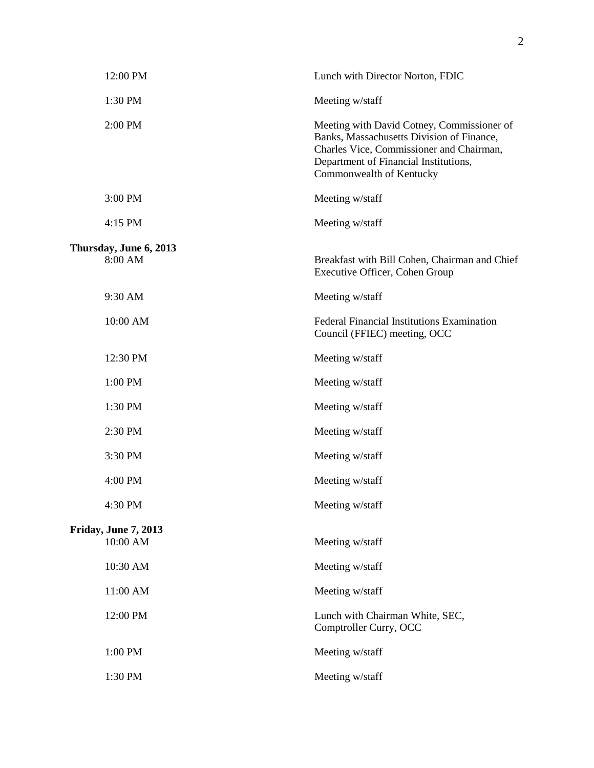| 12:00 PM                          | Lunch with Director Norton, FDIC                                                                                                                                                                         |
|-----------------------------------|----------------------------------------------------------------------------------------------------------------------------------------------------------------------------------------------------------|
| 1:30 PM                           | Meeting w/staff                                                                                                                                                                                          |
| 2:00 PM                           | Meeting with David Cotney, Commissioner of<br>Banks, Massachusetts Division of Finance,<br>Charles Vice, Commissioner and Chairman,<br>Department of Financial Institutions,<br>Commonwealth of Kentucky |
| 3:00 PM                           | Meeting w/staff                                                                                                                                                                                          |
| 4:15 PM                           | Meeting w/staff                                                                                                                                                                                          |
| Thursday, June 6, 2013<br>8:00 AM | Breakfast with Bill Cohen, Chairman and Chief<br>Executive Officer, Cohen Group                                                                                                                          |
| 9:30 AM                           | Meeting w/staff                                                                                                                                                                                          |
| 10:00 AM                          | Federal Financial Institutions Examination<br>Council (FFIEC) meeting, OCC                                                                                                                               |
| 12:30 PM                          | Meeting w/staff                                                                                                                                                                                          |
| 1:00 PM                           | Meeting w/staff                                                                                                                                                                                          |
| 1:30 PM                           | Meeting w/staff                                                                                                                                                                                          |
| 2:30 PM                           | Meeting w/staff                                                                                                                                                                                          |
| 3:30 PM                           | Meeting w/staff                                                                                                                                                                                          |
| 4:00 PM                           | Meeting w/staff                                                                                                                                                                                          |
| 4:30 PM                           | Meeting w/staff                                                                                                                                                                                          |
| <b>Friday, June 7, 2013</b>       |                                                                                                                                                                                                          |
| 10:00 AM                          | Meeting w/staff                                                                                                                                                                                          |
| 10:30 AM                          | Meeting w/staff                                                                                                                                                                                          |
| 11:00 AM                          | Meeting w/staff                                                                                                                                                                                          |
| 12:00 PM                          | Lunch with Chairman White, SEC,<br>Comptroller Curry, OCC                                                                                                                                                |
| 1:00 PM                           | Meeting w/staff                                                                                                                                                                                          |
| 1:30 PM                           | Meeting w/staff                                                                                                                                                                                          |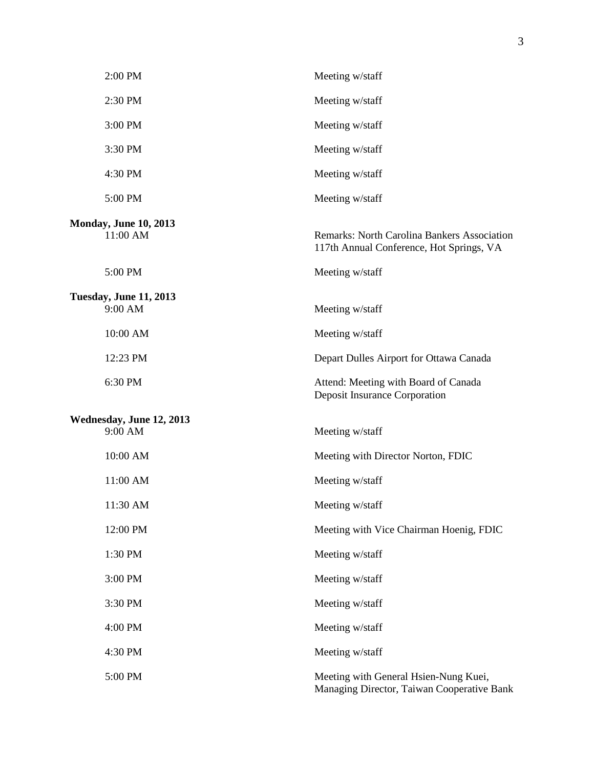| 2:00 PM                                  | Meeting w/staff                                                                                |
|------------------------------------------|------------------------------------------------------------------------------------------------|
| 2:30 PM                                  | Meeting w/staff                                                                                |
| 3:00 PM                                  | Meeting w/staff                                                                                |
| 3:30 PM                                  | Meeting w/staff                                                                                |
| 4:30 PM                                  | Meeting w/staff                                                                                |
| 5:00 PM                                  | Meeting w/staff                                                                                |
| <b>Monday, June 10, 2013</b><br>11:00 AM | <b>Remarks: North Carolina Bankers Association</b><br>117th Annual Conference, Hot Springs, VA |
| 5:00 PM                                  | Meeting w/staff                                                                                |
| <b>Tuesday, June 11, 2013</b><br>9:00 AM | Meeting w/staff                                                                                |
| 10:00 AM                                 | Meeting w/staff                                                                                |
| 12:23 PM                                 | Depart Dulles Airport for Ottawa Canada                                                        |
| 6:30 PM                                  | Attend: Meeting with Board of Canada<br><b>Deposit Insurance Corporation</b>                   |
| Wednesday, June 12, 2013<br>9:00 AM      | Meeting w/staff                                                                                |
| 10:00 AM                                 | Meeting with Director Norton, FDIC                                                             |
| 11:00 AM                                 | Meeting w/staff                                                                                |
| 11:30 AM                                 | Meeting w/staff                                                                                |
| 12:00 PM                                 | Meeting with Vice Chairman Hoenig, FDIC                                                        |
| 1:30 PM                                  | Meeting w/staff                                                                                |
| 3:00 PM                                  | Meeting w/staff                                                                                |
| 3:30 PM                                  | Meeting w/staff                                                                                |
| 4:00 PM                                  | Meeting w/staff                                                                                |
| 4:30 PM                                  | Meeting w/staff                                                                                |
| 5:00 PM                                  | Meeting with General Hsien-Nung Kuei,<br>Managing Director, Taiwan Cooperative Bank            |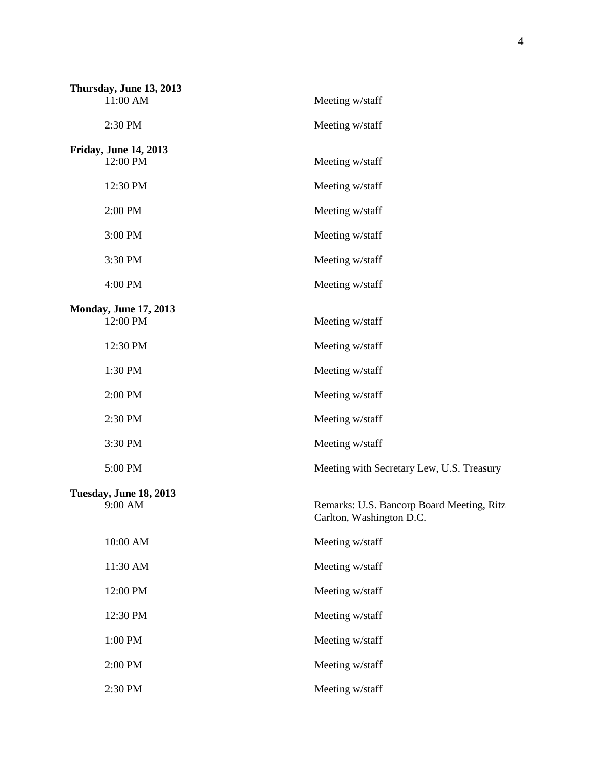| Thursday, June 13, 2013<br>11:00 AM      | Meeting w/staff                                                       |
|------------------------------------------|-----------------------------------------------------------------------|
|                                          |                                                                       |
| 2:30 PM                                  | Meeting w/staff                                                       |
| <b>Friday, June 14, 2013</b><br>12:00 PM | Meeting w/staff                                                       |
| 12:30 PM                                 | Meeting w/staff                                                       |
| 2:00 PM                                  | Meeting w/staff                                                       |
| 3:00 PM                                  | Meeting w/staff                                                       |
| 3:30 PM                                  | Meeting w/staff                                                       |
| 4:00 PM                                  | Meeting w/staff                                                       |
| <b>Monday, June 17, 2013</b>             |                                                                       |
| 12:00 PM                                 | Meeting w/staff                                                       |
| 12:30 PM                                 | Meeting w/staff                                                       |
| 1:30 PM                                  | Meeting w/staff                                                       |
| 2:00 PM                                  | Meeting w/staff                                                       |
| 2:30 PM                                  | Meeting w/staff                                                       |
| 3:30 PM                                  | Meeting w/staff                                                       |
| 5:00 PM                                  | Meeting with Secretary Lew, U.S. Treasury                             |
| <b>Tuesday, June 18, 2013</b><br>9:00 AM | Remarks: U.S. Bancorp Board Meeting, Ritz<br>Carlton, Washington D.C. |
| 10:00 AM                                 | Meeting w/staff                                                       |
| 11:30 AM                                 | Meeting w/staff                                                       |
| 12:00 PM                                 | Meeting w/staff                                                       |
| 12:30 PM                                 | Meeting w/staff                                                       |
| 1:00 PM                                  | Meeting w/staff                                                       |
| 2:00 PM                                  | Meeting w/staff                                                       |
| 2:30 PM                                  | Meeting w/staff                                                       |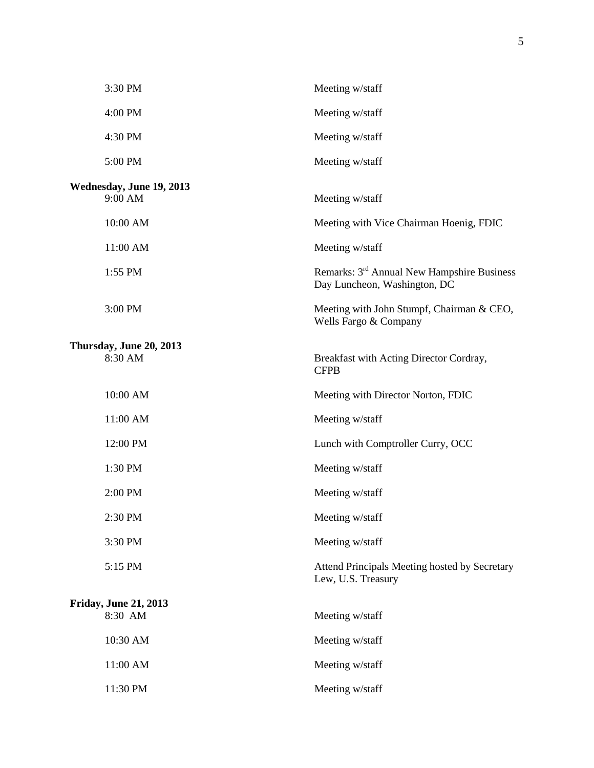| 3:30 PM                                 | Meeting w/staff                                                                        |
|-----------------------------------------|----------------------------------------------------------------------------------------|
| 4:00 PM                                 | Meeting w/staff                                                                        |
| 4:30 PM                                 | Meeting w/staff                                                                        |
| 5:00 PM                                 | Meeting w/staff                                                                        |
| Wednesday, June 19, 2013<br>9:00 AM     | Meeting w/staff                                                                        |
| 10:00 AM                                | Meeting with Vice Chairman Hoenig, FDIC                                                |
| 11:00 AM                                | Meeting w/staff                                                                        |
| 1:55 PM                                 | Remarks: 3 <sup>rd</sup> Annual New Hampshire Business<br>Day Luncheon, Washington, DC |
| 3:00 PM                                 | Meeting with John Stumpf, Chairman & CEO,<br>Wells Fargo & Company                     |
| Thursday, June 20, 2013<br>8:30 AM      | Breakfast with Acting Director Cordray,<br><b>CFPB</b>                                 |
| 10:00 AM                                | Meeting with Director Norton, FDIC                                                     |
| 11:00 AM                                | Meeting w/staff                                                                        |
| 12:00 PM                                | Lunch with Comptroller Curry, OCC                                                      |
| 1:30 PM                                 | Meeting w/staff                                                                        |
| 2:00 PM                                 | Meeting w/staff                                                                        |
| 2:30 PM                                 | Meeting w/staff                                                                        |
| 3:30 PM                                 | Meeting w/staff                                                                        |
| 5:15 PM                                 | Attend Principals Meeting hosted by Secretary<br>Lew, U.S. Treasury                    |
| <b>Friday, June 21, 2013</b><br>8:30 AM | Meeting w/staff                                                                        |
| 10:30 AM                                | Meeting w/staff                                                                        |
| 11:00 AM                                | Meeting w/staff                                                                        |
| 11:30 PM                                | Meeting w/staff                                                                        |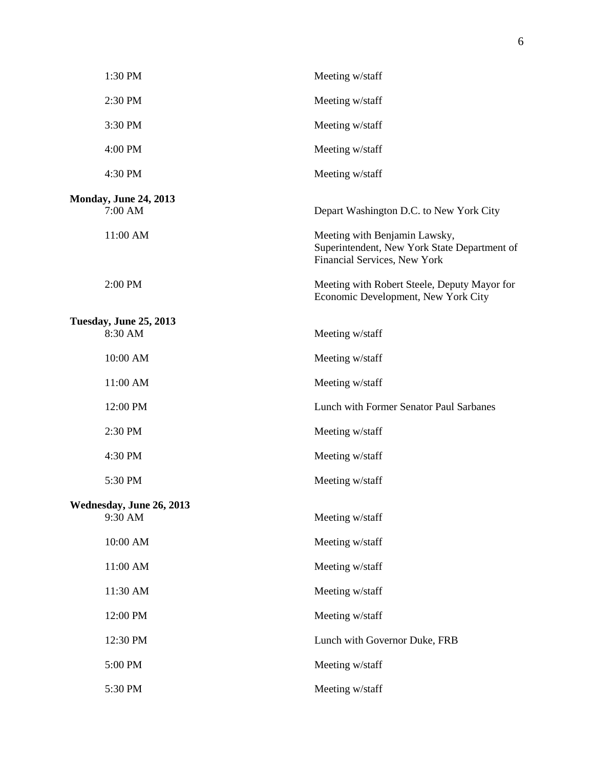|                                          | 1:30 PM                                 | Meeting w/staff                                                                                               |
|------------------------------------------|-----------------------------------------|---------------------------------------------------------------------------------------------------------------|
|                                          | 2:30 PM                                 | Meeting w/staff                                                                                               |
|                                          | 3:30 PM                                 | Meeting w/staff                                                                                               |
|                                          | 4:00 PM                                 | Meeting w/staff                                                                                               |
|                                          | 4:30 PM                                 | Meeting w/staff                                                                                               |
|                                          | <b>Monday, June 24, 2013</b><br>7:00 AM | Depart Washington D.C. to New York City                                                                       |
|                                          | 11:00 AM                                | Meeting with Benjamin Lawsky,<br>Superintendent, New York State Department of<br>Financial Services, New York |
|                                          | 2:00 PM                                 | Meeting with Robert Steele, Deputy Mayor for<br>Economic Development, New York City                           |
| <b>Tuesday, June 25, 2013</b><br>8:30 AM |                                         |                                                                                                               |
|                                          | 10:00 AM                                | Meeting w/staff<br>Meeting w/staff                                                                            |
|                                          | 11:00 AM                                | Meeting w/staff                                                                                               |
|                                          | 12:00 PM                                | Lunch with Former Senator Paul Sarbanes                                                                       |
|                                          | 2:30 PM                                 | Meeting w/staff                                                                                               |
|                                          | 4:30 PM                                 | Meeting w/staff                                                                                               |
|                                          | 5:30 PM                                 | Meeting w/staff                                                                                               |
| Wednesday, June 26, 2013                 |                                         |                                                                                                               |
|                                          | 9:30 AM                                 | Meeting w/staff                                                                                               |
|                                          | 10:00 AM                                | Meeting w/staff                                                                                               |
|                                          | 11:00 AM                                | Meeting w/staff                                                                                               |
|                                          | 11:30 AM                                | Meeting w/staff                                                                                               |
|                                          | 12:00 PM                                | Meeting w/staff                                                                                               |
|                                          | 12:30 PM                                | Lunch with Governor Duke, FRB                                                                                 |
|                                          | 5:00 PM                                 | Meeting w/staff                                                                                               |
|                                          | 5:30 PM                                 | Meeting w/staff                                                                                               |